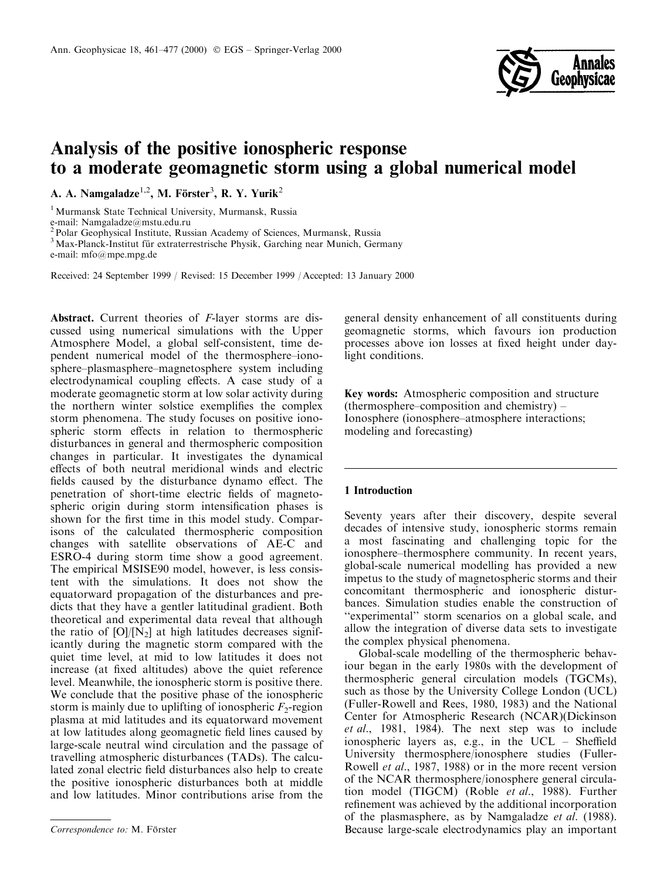

# Analysis of the positive ionospheric response to a moderate geomagnetic storm using a global numerical model

A. A. Namgaladze $^{1,2}$ , M. Förster<sup>3</sup>, R. Y. Yurik<sup>2</sup>

<sup>1</sup> Murmansk State Technical University, Murmansk, Russia

e-mail: Namgaladze@mstu.edu.ru

<sup>2</sup> Polar Geophysical Institute, Russian Academy of Sciences, Murmansk, Russia

<sup>3</sup> Max-Planck-Institut für extraterrestrische Physik, Garching near Munich, Germany

e-mail: mfo@mpe.mpg.de

Received: 24 September 1999 / Revised: 15 December 1999 / Accepted: 13 January 2000

Abstract. Current theories of F-layer storms are discussed using numerical simulations with the Upper Atmosphere Model, a global self-consistent, time dependent numerical model of the thermosphere-ionosphere-plasmasphere-magnetosphere system including electrodynamical coupling effects. A case study of a moderate geomagnetic storm at low solar activity during the northern winter solstice exemplifies the complex storm phenomena. The study focuses on positive ionospheric storm effects in relation to thermospheric disturbances in general and thermospheric composition changes in particular. It investigates the dynamical effects of both neutral meridional winds and electric fields caused by the disturbance dynamo effect. The penetration of short-time electric fields of magnetospheric origin during storm intensification phases is shown for the first time in this model study. Comparisons of the calculated thermospheric composition changes with satellite observations of AE-C and ESRO-4 during storm time show a good agreement. The empirical MSISE90 model, however, is less consistent with the simulations. It does not show the equatorward propagation of the disturbances and predicts that they have a gentler latitudinal gradient. Both theoretical and experimental data reveal that although the ratio of  $[O]/[N_2]$  at high latitudes decreases significantly during the magnetic storm compared with the quiet time level, at mid to low latitudes it does not increase (at fixed altitudes) above the quiet reference level. Meanwhile, the ionospheric storm is positive there. We conclude that the positive phase of the ionospheric storm is mainly due to uplifting of ionospheric  $F_2$ -region plasma at mid latitudes and its equatorward movement at low latitudes along geomagnetic field lines caused by large-scale neutral wind circulation and the passage of travelling atmospheric disturbances (TADs). The calculated zonal electric field disturbances also help to create the positive ionospheric disturbances both at middle and low latitudes. Minor contributions arise from the

general density enhancement of all constituents during geomagnetic storms, which favours ion production processes above ion losses at fixed height under daylight conditions.

Key words: Atmospheric composition and structure (thermosphere–composition and chemistry)  $-$ Ionosphere (ionosphere-atmosphere interactions; modeling and forecasting)

# 1 Introduction

Seventy years after their discovery, despite several decades of intensive study, ionospheric storms remain a most fascinating and challenging topic for the ionosphere–thermosphere community. In recent years, global-scale numerical modelling has provided a new impetus to the study of magnetospheric storms and their concomitant thermospheric and ionospheric disturbances. Simulation studies enable the construction of ``experimental'' storm scenarios on a global scale, and allow the integration of diverse data sets to investigate the complex physical phenomena.

Global-scale modelling of the thermospheric behaviour began in the early 1980s with the development of thermospheric general circulation models (TGCMs), such as those by the University College London (UCL) (Fuller-Rowell and Rees, 1980, 1983) and the National Center for Atmospheric Research (NCAR)(Dickinson et al., 1981, 1984). The next step was to include ionospheric layers as, e.g., in the  $UCL$  – Sheffield University thermosphere/ionosphere studies (Fuller-Rowell *et al.*, 1987, 1988) or in the more recent version of the NCAR thermosphere/ionosphere general circulation model (TIGCM) (Roble et al., 1988). Further refinement was achieved by the additional incorporation of the plasmasphere, as by Namgaladze et al. (1988). Correspondence to: M. Förster Secrets and Because large-scale electrodynamics play an important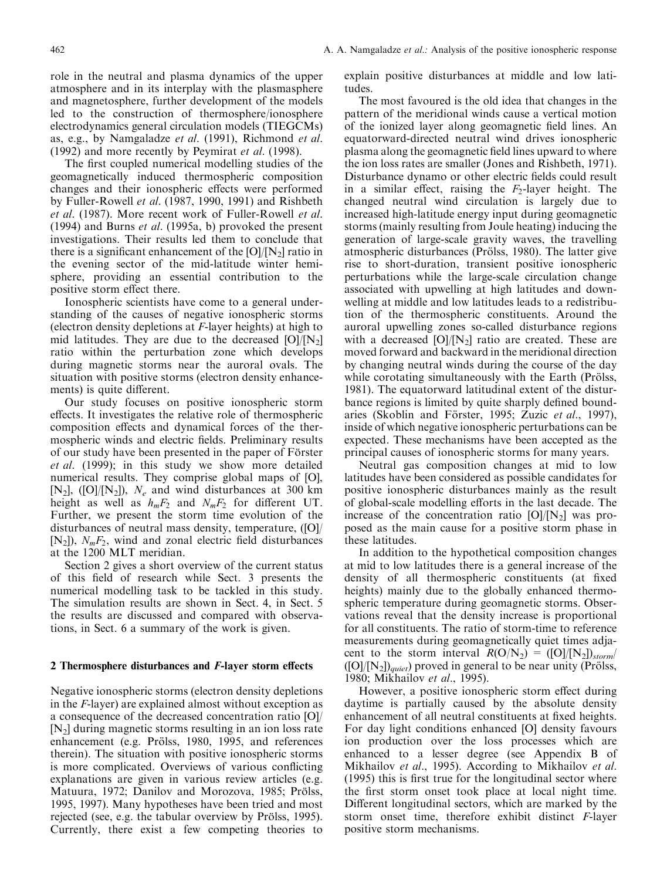role in the neutral and plasma dynamics of the upper atmosphere and in its interplay with the plasmasphere and magnetosphere, further development of the models led to the construction of thermosphere/ionosphere electrodynamics general circulation models (TIEGCMs) as, e.g., by Namgaladze et al. (1991), Richmond et al. (1992) and more recently by Peymirat et al. (1998).

The first coupled numerical modelling studies of the geomagnetically induced thermospheric composition changes and their ionospheric effects were performed by Fuller-Rowell et al. (1987, 1990, 1991) and Rishbeth et al. (1987). More recent work of Fuller-Rowell et al. (1994) and Burns  $et$  al. (1995a, b) provoked the present investigations. Their results led them to conclude that there is a significant enhancement of the  $[O]/[N<sub>2</sub>]$  ratio in the evening sector of the mid-latitude winter hemisphere, providing an essential contribution to the positive storm effect there.

Ionospheric scientists have come to a general understanding of the causes of negative ionospheric storms (electron density depletions at F-layer heights) at high to mid latitudes. They are due to the decreased  $[O]/[N_2]$ ratio within the perturbation zone which develops during magnetic storms near the auroral ovals. The situation with positive storms (electron density enhancements) is quite different.

Our study focuses on positive ionospheric storm effects. It investigates the relative role of thermospheric composition effects and dynamical forces of the thermospheric winds and electric fields. Preliminary results of our study have been presented in the paper of Förster et al. (1999); in this study we show more detailed numerical results. They comprise global maps of [O], [N<sub>2</sub>], ([O]/[N<sub>2</sub>]),  $N_e$  and wind disturbances at 300 km height as well as  $h_mF_2$  and  $N_mF_2$  for different UT. Further, we present the storm time evolution of the disturbances of neutral mass density, temperature, ([O]/ [N<sub>2</sub>]),  $N_mF_2$ , wind and zonal electric field disturbances at the 1200 MLT meridian.

Section 2 gives a short overview of the current status of this field of research while Sect. 3 presents the numerical modelling task to be tackled in this study. The simulation results are shown in Sect. 4, in Sect. 5 the results are discussed and compared with observations, in Sect. 6 a summary of the work is given.

## 2 Thermosphere disturbances and  $F$ -layer storm effects

Negative ionospheric storms (electron density depletions in the F-layer) are explained almost without exception as a consequence of the decreased concentration ratio [O]/ [N2] during magnetic storms resulting in an ion loss rate enhancement (e.g. Prölss, 1980, 1995, and references therein). The situation with positive ionospheric storms is more complicated. Overviews of various conflicting explanations are given in various review articles (e.g. Matuura, 1972; Danilov and Morozova, 1985; Prölss, 1995, 1997). Many hypotheses have been tried and most rejected (see, e.g. the tabular overview by Prölss, 1995). Currently, there exist a few competing theories to

explain positive disturbances at middle and low latitudes.

The most favoured is the old idea that changes in the pattern of the meridional winds cause a vertical motion of the ionized layer along geomagnetic field lines. An equatorward-directed neutral wind drives ionospheric plasma along the geomagnetic field lines upward to where the ion loss rates are smaller (Jones and Rishbeth, 1971). Disturbance dynamo or other electric fields could result in a similar effect, raising the  $F_2$ -layer height. The changed neutral wind circulation is largely due to increased high-latitude energy input during geomagnetic storms (mainly resulting from Joule heating) inducing the generation of large-scale gravity waves, the travelling atmospheric disturbances (Prölss, 1980). The latter give rise to short-duration, transient positive ionospheric perturbations while the large-scale circulation change associated with upwelling at high latitudes and downwelling at middle and low latitudes leads to a redistribution of the thermospheric constituents. Around the auroral upwelling zones so-called disturbance regions with a decreased  $[O]/[N_2]$  ratio are created. These are moved forward and backward in the meridional direction by changing neutral winds during the course of the day while corotating simultaneously with the Earth (Prölss, 1981). The equatorward latitudinal extent of the disturbance regions is limited by quite sharply defined boundaries (Skoblin and Förster, 1995; Zuzic et al., 1997), inside of which negative ionospheric perturbations can be expected. These mechanisms have been accepted as the principal causes of ionospheric storms for many years.

Neutral gas composition changes at mid to low latitudes have been considered as possible candidates for positive ionospheric disturbances mainly as the result of global-scale modelling efforts in the last decade. The increase of the concentration ratio  $[O]/[N_2]$  was proposed as the main cause for a positive storm phase in these latitudes.

In addition to the hypothetical composition changes at mid to low latitudes there is a general increase of the density of all thermospheric constituents (at fixed heights) mainly due to the globally enhanced thermospheric temperature during geomagnetic storms. Observations reveal that the density increase is proportional for all constituents. The ratio of storm-time to reference measurements during geomagnetically quiet times adjacent to the storm interval  $R(O/N_2) = ([O]/[N_2])_{storm}$  $([O]/[N_2])_{quiet}$ ) proved in general to be near unity (Prölss, 1980; Mikhailov et al., 1995).

However, a positive ionospheric storm effect during daytime is partially caused by the absolute density enhancement of all neutral constituents at fixed heights. For day light conditions enhanced [O] density favours ion production over the loss processes which are enhanced to a lesser degree (see Appendix B of Mikhailov et al., 1995). According to Mikhailov et al.  $(1995)$  this is first true for the longitudinal sector where the first storm onset took place at local night time. Different longitudinal sectors, which are marked by the storm onset time, therefore exhibit distinct F-layer positive storm mechanisms.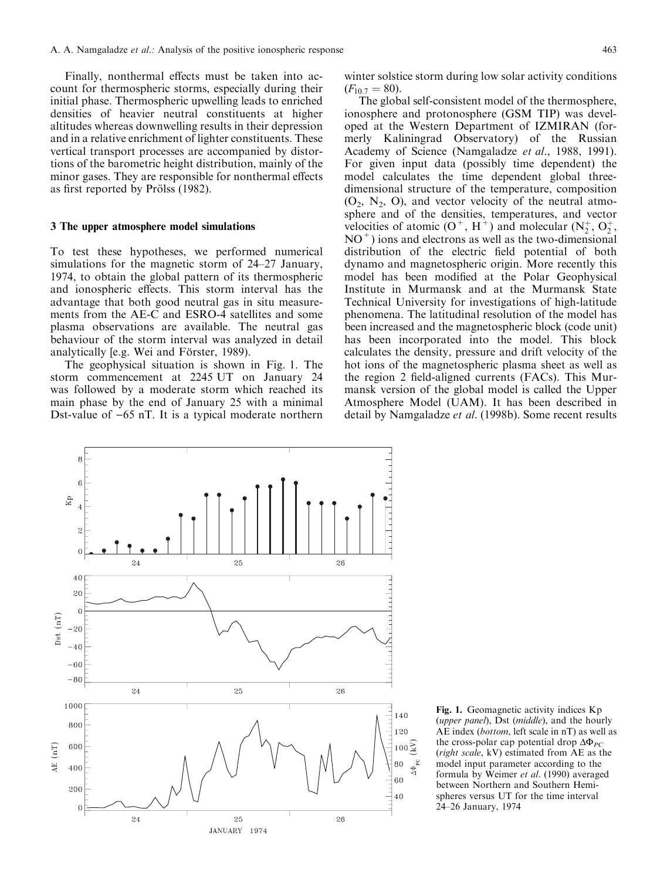Finally, nonthermal effects must be taken into account for thermospheric storms, especially during their initial phase. Thermospheric upwelling leads to enriched densities of heavier neutral constituents at higher altitudes whereas downwelling results in their depression and in a relative enrichment of lighter constituents. These vertical transport processes are accompanied by distortions of the barometric height distribution, mainly of the minor gases. They are responsible for nonthermal effects as first reported by Prölss (1982).

#### 3 The upper atmosphere model simulations

 $\mathbf{R}$ 

 $(nT)$ 

ă

To test these hypotheses, we performed numerical simulations for the magnetic storm of  $24-27$  January, 1974, to obtain the global pattern of its thermospheric and ionospheric effects. This storm interval has the advantage that both good neutral gas in situ measurements from the AE-C and ESRO-4 satellites and some plasma observations are available. The neutral gas behaviour of the storm interval was analyzed in detail analytically [e.g. Wei and Förster, 1989).

The geophysical situation is shown in Fig. 1. The storm commencement at 2245 UT on January 24 was followed by a moderate storm which reached its main phase by the end of January 25 with a minimal Dst-value of  $-65$  nT. It is a typical moderate northern

winter solstice storm during low solar activity conditions  $(F_{10.7} = 80).$ 

The global self-consistent model of the thermosphere, ionosphere and protonosphere (GSM TIP) was developed at the Western Department of IZMIRAN (formerly Kaliningrad Observatory) of the Russian Academy of Science (Namgaladze et al., 1988, 1991). For given input data (possibly time dependent) the model calculates the time dependent global threedimensional structure of the temperature, composition  $(O_2, N_2, O)$ , and vector velocity of the neutral atmosphere and of the densities, temperatures, and vector velocities of atomic  $(O^+, H^+)$  and molecular  $(N_2^+, O_2^+)$  $NO<sup>+</sup>$ ) ions and electrons as well as the two-dimensional distribution of the electric field potential of both dynamo and magnetospheric origin. More recently this model has been modified at the Polar Geophysical Institute in Murmansk and at the Murmansk State Technical University for investigations of high-latitude phenomena. The latitudinal resolution of the model has been increased and the magnetospheric block (code unit) has been incorporated into the model. This block calculates the density, pressure and drift velocity of the hot ions of the magnetospheric plasma sheet as well as the region 2 field-aligned currents (FACs). This Murmansk version of the global model is called the Upper Atmosphere Model (UAM). It has been described in detail by Namgaladze *et al.* (1998b). Some recent results



Fig. 1. Geomagnetic activity indices Kp (*upper panel*), Dst (*middle*), and the hourly AE index (bottom, left scale in nT) as well as the cross-polar cap potential drop  $\Delta \Phi_{PC}$ (right scale, kV) estimated from AE as the model input parameter according to the formula by Weimer et al. (1990) averaged between Northern and Southern Hemispheres versus UT for the time interval 24±26 January, 1974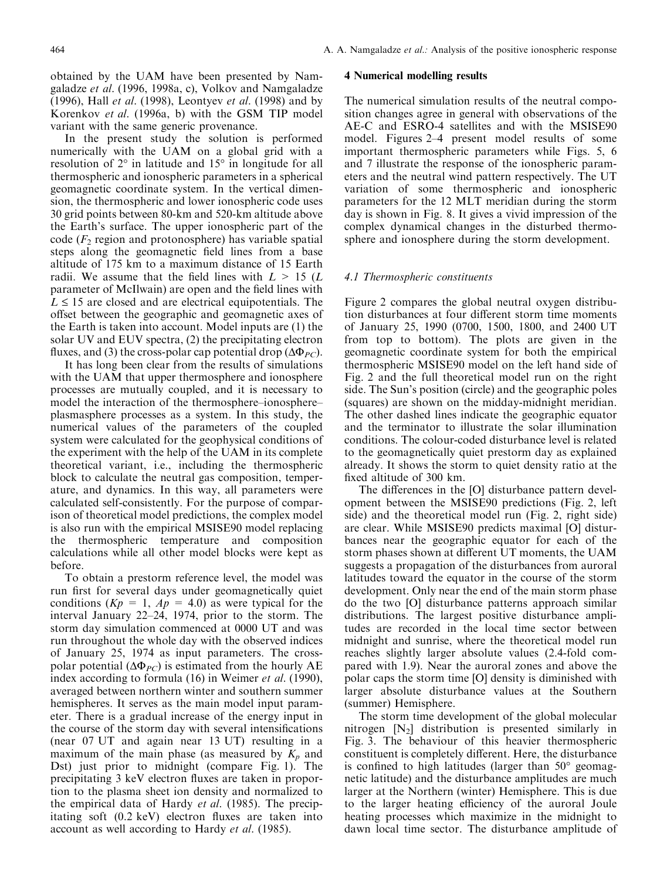obtained by the UAM have been presented by Namgaladze et al. (1996, 1998a, c), Volkov and Namgaladze (1996), Hall et al. (1998), Leontyev et al. (1998) and by Korenkov et al. (1996a, b) with the GSM TIP model variant with the same generic provenance.

In the present study the solution is performed numerically with the UAM on a global grid with a resolution of 2° in latitude and 15° in longitude for all thermospheric and ionospheric parameters in a spherical geomagnetic coordinate system. In the vertical dimension, the thermospheric and lower ionospheric code uses 30 grid points between 80-km and 520-km altitude above the Earth's surface. The upper ionospheric part of the code  $(F_2$  region and protonosphere) has variable spatial steps along the geomagnetic field lines from a base altitude of 175 km to a maximum distance of 15 Earth radii. We assume that the field lines with  $L > 15$  (L parameter of McIlwain) are open and the field lines with  $L \leq 15$  are closed and are electrical equipotentials. The offset between the geographic and geomagnetic axes of the Earth is taken into account. Model inputs are (1) the solar UV and EUV spectra, (2) the precipitating electron fluxes, and (3) the cross-polar cap potential drop ( $\Delta \Phi_{PC}$ ).

It has long been clear from the results of simulations with the UAM that upper thermosphere and ionosphere processes are mutually coupled, and it is necessary to model the interaction of the thermosphere-ionosphereplasmasphere processes as a system. In this study, the numerical values of the parameters of the coupled system were calculated for the geophysical conditions of the experiment with the help of the UAM in its complete theoretical variant, i.e., including the thermospheric block to calculate the neutral gas composition, temperature, and dynamics. In this way, all parameters were calculated self-consistently. For the purpose of comparison of theoretical model predictions, the complex model is also run with the empirical MSISE90 model replacing the thermospheric temperature and composition calculations while all other model blocks were kept as before.

To obtain a prestorm reference level, the model was run first for several days under geomagnetically quiet conditions  $(Kp = 1, Ap = 4.0)$  as were typical for the interval January  $22-24$ , 1974, prior to the storm. The storm day simulation commenced at 0000 UT and was run throughout the whole day with the observed indices of January 25, 1974 as input parameters. The crosspolar potential ( $\Delta \Phi_{PC}$ ) is estimated from the hourly AE index according to formula (16) in Weimer et al. (1990), averaged between northern winter and southern summer hemispheres. It serves as the main model input parameter. There is a gradual increase of the energy input in the course of the storm day with several intensifications (near 07 UT and again near 13 UT) resulting in a maximum of the main phase (as measured by  $K_p$  and Dst) just prior to midnight (compare Fig. 1). The precipitating 3 keV electron fluxes are taken in proportion to the plasma sheet ion density and normalized to the empirical data of Hardy et al. (1985). The precipitating soft  $(0.2 \text{ keV})$  electron fluxes are taken into account as well according to Hardy et al. (1985).

#### 4 Numerical modelling results

The numerical simulation results of the neutral composition changes agree in general with observations of the AE-C and ESRO-4 satellites and with the MSISE90 model. Figures 2–4 present model results of some important thermospheric parameters while Figs. 5, 6 and 7 illustrate the response of the ionospheric parameters and the neutral wind pattern respectively. The UT variation of some thermospheric and ionospheric parameters for the 12 MLT meridian during the storm day is shown in Fig. 8. It gives a vivid impression of the complex dynamical changes in the disturbed thermosphere and ionosphere during the storm development.

# 4.1 Thermospheric constituents

Figure 2 compares the global neutral oxygen distribution disturbances at four different storm time moments of January 25, 1990 (0700, 1500, 1800, and 2400 UT from top to bottom). The plots are given in the geomagnetic coordinate system for both the empirical thermospheric MSISE90 model on the left hand side of Fig. 2 and the full theoretical model run on the right side. The Sun's position (circle) and the geographic poles (squares) are shown on the midday-midnight meridian. The other dashed lines indicate the geographic equator and the terminator to illustrate the solar illumination conditions. The colour-coded disturbance level is related to the geomagnetically quiet prestorm day as explained already. It shows the storm to quiet density ratio at the fixed altitude of 300 km.

The differences in the [O] disturbance pattern development between the MSISE90 predictions (Fig. 2, left side) and the theoretical model run (Fig. 2, right side) are clear. While MSISE90 predicts maximal [O] disturbances near the geographic equator for each of the storm phases shown at different UT moments, the UAM suggests a propagation of the disturbances from auroral latitudes toward the equator in the course of the storm development. Only near the end of the main storm phase do the two [O] disturbance patterns approach similar distributions. The largest positive disturbance amplitudes are recorded in the local time sector between midnight and sunrise, where the theoretical model run reaches slightly larger absolute values (2.4-fold compared with 1.9). Near the auroral zones and above the polar caps the storm time [O] density is diminished with larger absolute disturbance values at the Southern (summer) Hemisphere.

The storm time development of the global molecular nitrogen  $[N_2]$  distribution is presented similarly in Fig. 3. The behaviour of this heavier thermospheric constituent is completely different. Here, the disturbance is confined to high latitudes (larger than  $50^{\circ}$  geomagnetic latitude) and the disturbance amplitudes are much larger at the Northern (winter) Hemisphere. This is due to the larger heating efficiency of the auroral Joule heating processes which maximize in the midnight to dawn local time sector. The disturbance amplitude of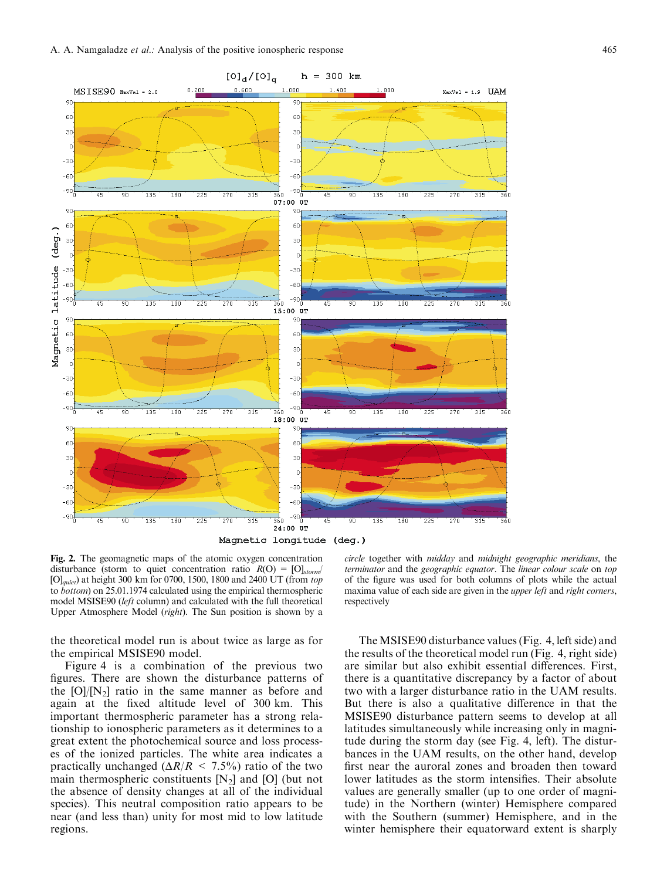

Fig. 2. The geomagnetic maps of the atomic oxygen concentration disturbance (storm to quiet concentration ratio  $R(O) = [O]_{storm}$ )  $[O]_{\text{quiet}}$ ) at height 300 km for 0700, 1500, 1800 and 2400 UT (from top to bottom) on 25.01.1974 calculated using the empirical thermospheric model MSISE90 (left column) and calculated with the full theoretical Upper Atmosphere Model (right). The Sun position is shown by a

the theoretical model run is about twice as large as for the empirical MSISE90 model.

Figure 4 is a combination of the previous two figures. There are shown the disturbance patterns of the  $[O]/[N<sub>2</sub>]$  ratio in the same manner as before and again at the fixed altitude level of 300 km. This important thermospheric parameter has a strong relationship to ionospheric parameters as it determines to a great extent the photochemical source and loss processes of the ionized particles. The white area indicates a practically unchanged ( $\Delta R/R < 7.5\%$ ) ratio of the two main thermospheric constituents  $[N_2]$  and  $[O]$  (but not the absence of density changes at all of the individual species). This neutral composition ratio appears to be near (and less than) unity for most mid to low latitude regions.

circle together with midday and midnight geographic meridians, the terminator and the geographic equator. The linear colour scale on top of the figure was used for both columns of plots while the actual maxima value of each side are given in the *upper left* and *right corners*, respectively

The MSISE90 disturbance values (Fig. 4, left side) and the results of the theoretical model run (Fig. 4, right side) are similar but also exhibit essential differences. First, there is a quantitative discrepancy by a factor of about two with a larger disturbance ratio in the UAM results. But there is also a qualitative difference in that the MSISE90 disturbance pattern seems to develop at all latitudes simultaneously while increasing only in magnitude during the storm day (see Fig. 4, left). The disturbances in the UAM results, on the other hand, develop first near the auroral zones and broaden then toward lower latitudes as the storm intensifies. Their absolute values are generally smaller (up to one order of magnitude) in the Northern (winter) Hemisphere compared with the Southern (summer) Hemisphere, and in the winter hemisphere their equatorward extent is sharply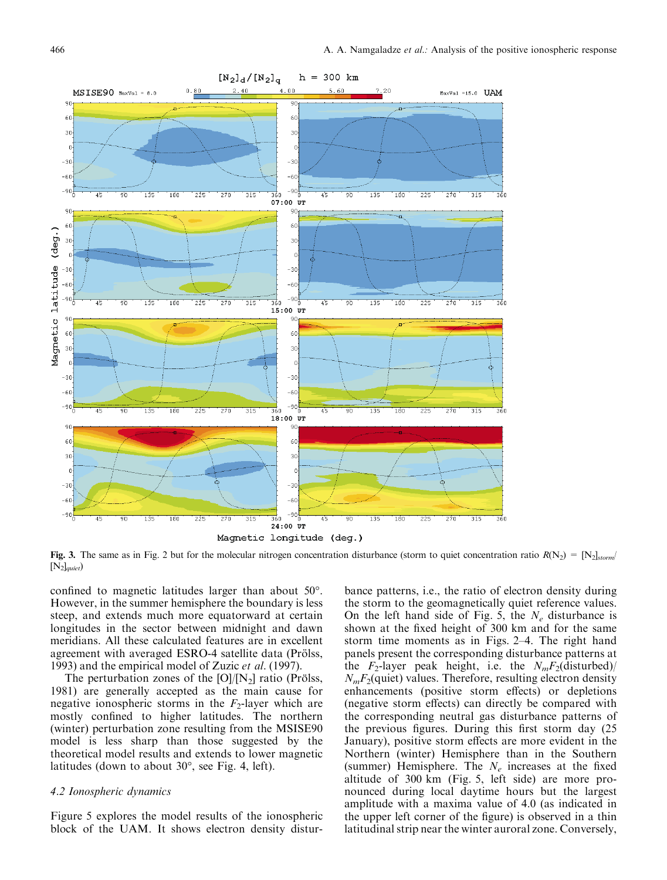

Fig. 3. The same as in Fig. 2 but for the molecular nitrogen concentration disturbance (storm to quiet concentration ratio  $R(N_2) = [N_2]_{\text{storm}}/$  $[N_2]_{\text{quiet}}$ 

confined to magnetic latitudes larger than about 50°. However, in the summer hemisphere the boundary is less steep, and extends much more equatorward at certain longitudes in the sector between midnight and dawn meridians. All these calculated features are in excellent agreement with averaged ESRO-4 satellite data (Prölss, 1993) and the empirical model of Zuzic et al. (1997).

The perturbation zones of the  $[O]/[N_2]$  ratio (Prölss, 1981) are generally accepted as the main cause for negative ionospheric storms in the  $F_2$ -layer which are mostly confined to higher latitudes. The northern (winter) perturbation zone resulting from the MSISE90 model is less sharp than those suggested by the theoretical model results and extends to lower magnetic latitudes (down to about 30°, see Fig. 4, left).

## 4.2 Ionospheric dynamics

Figure 5 explores the model results of the ionospheric block of the UAM. It shows electron density distur-

bance patterns, i.e., the ratio of electron density during the storm to the geomagnetically quiet reference values. On the left hand side of Fig. 5, the  $N_e$  disturbance is shown at the fixed height of 300 km and for the same storm time moments as in Figs.  $2-4$ . The right hand panels present the corresponding disturbance patterns at the  $F_2$ -layer peak height, i.e. the  $N_mF_2$ (disturbed)/  $N_mF_2$ (quiet) values. Therefore, resulting electron density enhancements (positive storm effects) or depletions (negative storm effects) can directly be compared with the corresponding neutral gas disturbance patterns of the previous figures. During this first storm day (25 January), positive storm effects are more evident in the Northern (winter) Hemisphere than in the Southern (summer) Hemisphere. The  $N_e$  increases at the fixed altitude of 300 km (Fig. 5, left side) are more pronounced during local daytime hours but the largest amplitude with a maxima value of 4.0 (as indicated in the upper left corner of the figure) is observed in a thin latitudinal strip near the winter auroral zone. Conversely,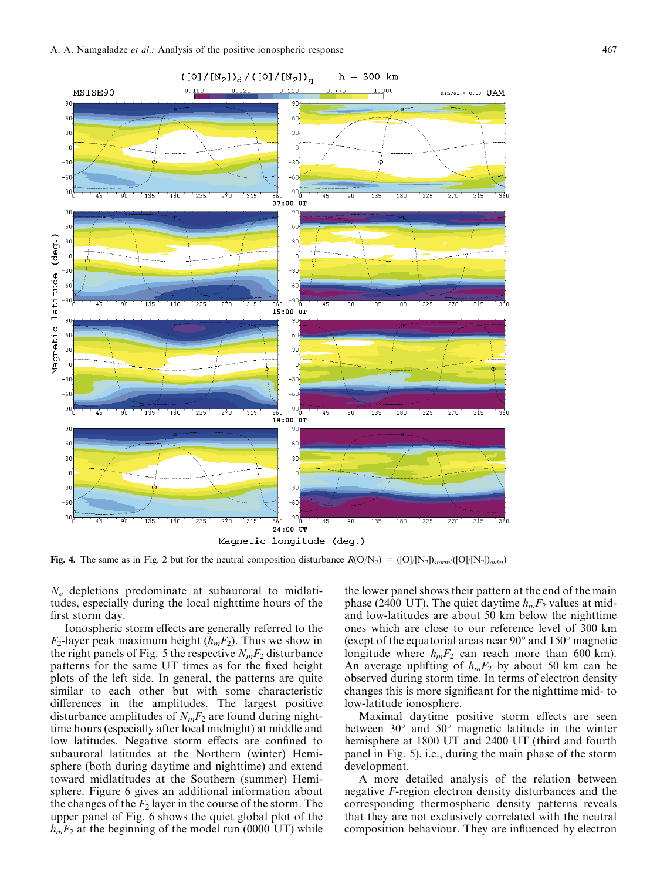

Fig. 4. The same as in Fig. 2 but for the neutral composition disturbance  $R(O/N_2) = ([O]/[N_2])_{\text{atom}}/([O]/[N_2])_{\text{quiet}}$ 

 $N_e$  depletions predominate at subauroral to midlatitudes, especially during the local nighttime hours of the first storm day.

Ionospheric storm effects are generally referred to the  $F_2$ -layer peak maximum height  $(h_mF_2)$ . Thus we show in the right panels of Fig. 5 the respective  $N_mF_2$  disturbance patterns for the same UT times as for the fixed height plots of the left side. In general, the patterns are quite similar to each other but with some characteristic differences in the amplitudes. The largest positive disturbance amplitudes of  $N_mF_2$  are found during nighttime hours (especially after local midnight) at middle and low latitudes. Negative storm effects are confined to subauroral latitudes at the Northern (winter) Hemisphere (both during daytime and nighttime) and extend toward midlatitudes at the Southern (summer) Hemisphere. Figure 6 gives an additional information about the changes of the  $F_2$  layer in the course of the storm. The upper panel of Fig. 6 shows the quiet global plot of the  $h_mF_2$  at the beginning of the model run (0000 UT) while

the lower panel shows their pattern at the end of the main phase (2400 UT). The quiet daytime  $h_mF_2$  values at midand low-latitudes are about 50 km below the nighttime ones which are close to our reference level of 300 km (exept of the equatorial areas near 90° and 150° magnetic longitude where  $h_mF_2$  can reach more than 600 km). An average uplifting of  $h_mF_2$  by about 50 km can be observed during storm time. In terms of electron density changes this is more significant for the nighttime mid- to low-latitude ionosphere.

Maximal daytime positive storm effects are seen between 30° and 50° magnetic latitude in the winter hemisphere at 1800 UT and 2400 UT (third and fourth panel in Fig. 5), i.e., during the main phase of the storm development.

A more detailed analysis of the relation between negative F-region electron density disturbances and the corresponding thermospheric density patterns reveals that they are not exclusively correlated with the neutral composition behaviour. They are influenced by electron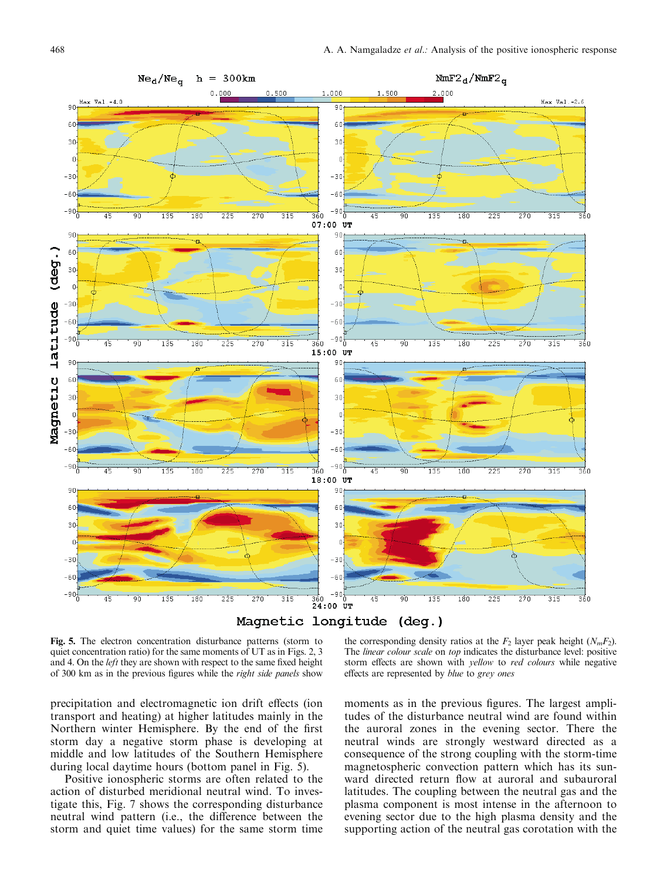

Fig. 5. The electron concentration disturbance patterns (storm to quiet concentration ratio) for the same moments of UT as in Figs. 2, 3 and 4. On the *left* they are shown with respect to the same fixed height of 300 km as in the previous figures while the right side panels show

precipitation and electromagnetic ion drift effects (ion transport and heating) at higher latitudes mainly in the Northern winter Hemisphere. By the end of the first storm day a negative storm phase is developing at middle and low latitudes of the Southern Hemisphere during local daytime hours (bottom panel in Fig. 5).

Positive ionospheric storms are often related to the action of disturbed meridional neutral wind. To investigate this, Fig. 7 shows the corresponding disturbance neutral wind pattern (i.e., the difference between the storm and quiet time values) for the same storm time

the corresponding density ratios at the  $F_2$  layer peak height  $(N_mF_2)$ . The *linear colour scale* on *top* indicates the disturbance level: positive storm effects are shown with *yellow* to *red colours* while negative effects are represented by blue to grey ones

moments as in the previous figures. The largest amplitudes of the disturbance neutral wind are found within the auroral zones in the evening sector. There the neutral winds are strongly westward directed as a consequence of the strong coupling with the storm-time magnetospheric convection pattern which has its sunward directed return flow at auroral and subauroral latitudes. The coupling between the neutral gas and the plasma component is most intense in the afternoon to evening sector due to the high plasma density and the supporting action of the neutral gas corotation with the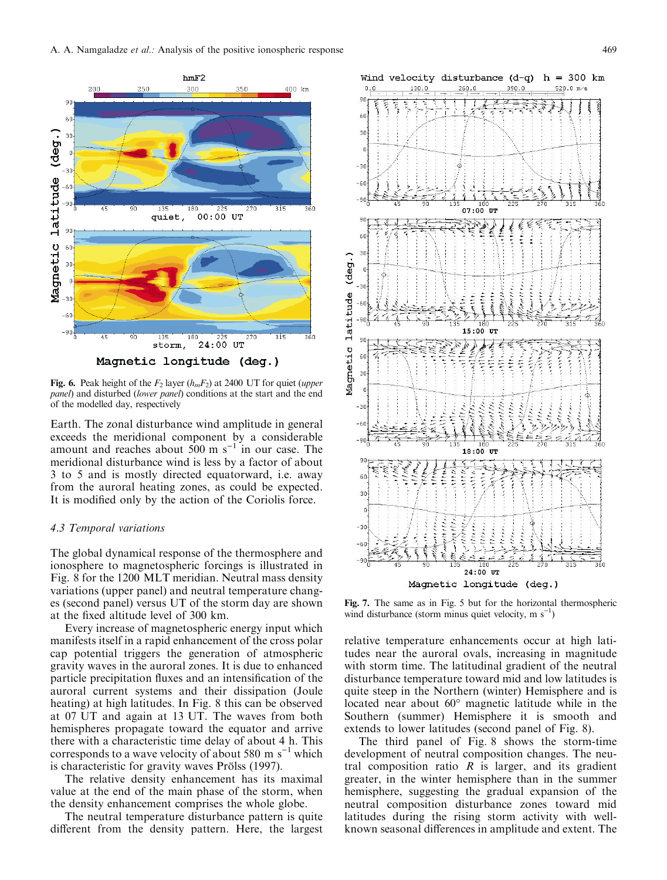

Fig. 6. Peak height of the  $F_2$  layer ( $h_mF_2$ ) at 2400 UT for quiet (upper panel) and disturbed (lower panel) conditions at the start and the end of the modelled day, respectively

Earth. The zonal disturbance wind amplitude in general exceeds the meridional component by a considerable amount and reaches about  $500 \text{ m s}^{-1}$  in our case. The meridional disturbance wind is less by a factor of about 3 to 5 and is mostly directed equatorward, i.e. away from the auroral heating zones, as could be expected. It is modified only by the action of the Coriolis force.

# 4.3 Temporal variations

The global dynamical response of the thermosphere and ionosphere to magnetospheric forcings is illustrated in Fig. 8 for the 1200 MLT meridian. Neutral mass density variations (upper panel) and neutral temperature changes (second panel) versus UT of the storm day are shown at the fixed altitude level of 300 km.

Every increase of magnetospheric energy input which manifests itself in a rapid enhancement of the cross polar cap potential triggers the generation of atmospheric gravity waves in the auroral zones. It is due to enhanced particle precipitation fluxes and an intensification of the auroral current systems and their dissipation (Joule heating) at high latitudes. In Fig. 8 this can be observed at 07 UT and again at 13 UT. The waves from both hemispheres propagate toward the equator and arrive there with a characteristic time delay of about 4 h. This corresponds to a wave velocity of about 580 m  $s^{-1}$  which is characteristic for gravity waves Prölss (1997).

The relative density enhancement has its maximal value at the end of the main phase of the storm, when the density enhancement comprises the whole globe.

The neutral temperature disturbance pattern is quite different from the density pattern. Here, the largest



Fig. 7. The same as in Fig. 5 but for the horizontal thermospheric wind disturbance (storm minus quiet velocity, m  $s^{-1}$ )

relative temperature enhancements occur at high latitudes near the auroral ovals, increasing in magnitude with storm time. The latitudinal gradient of the neutral disturbance temperature toward mid and low latitudes is quite steep in the Northern (winter) Hemisphere and is located near about 60° magnetic latitude while in the Southern (summer) Hemisphere it is smooth and extends to lower latitudes (second panel of Fig. 8).

The third panel of Fig. 8 shows the storm-time development of neutral composition changes. The neutral composition ratio  $R$  is larger, and its gradient greater, in the winter hemisphere than in the summer hemisphere, suggesting the gradual expansion of the neutral composition disturbance zones toward mid latitudes during the rising storm activity with wellknown seasonal differences in amplitude and extent. The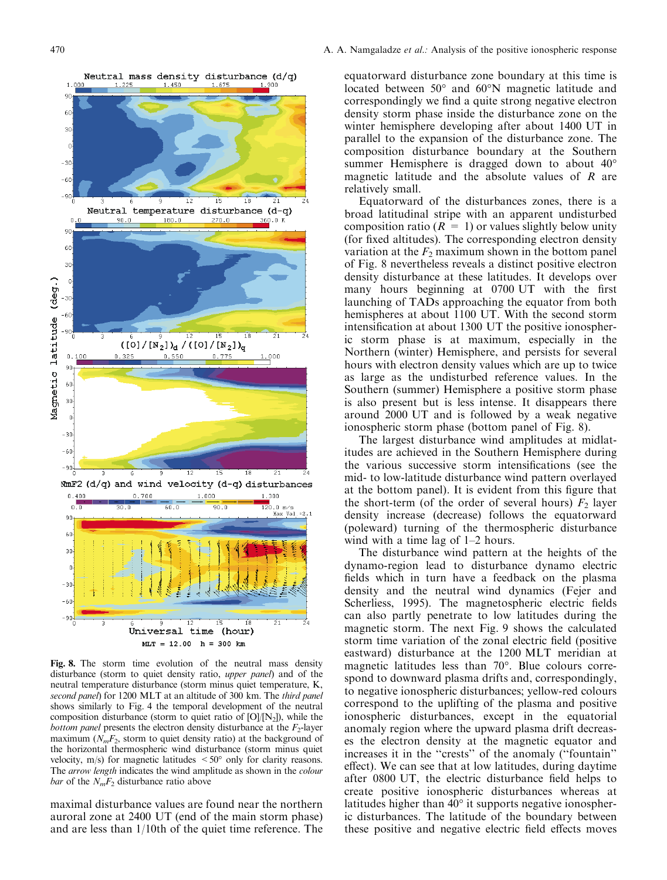1,000



1.450

Fig. 8. The storm time evolution of the neutral mass density disturbance (storm to quiet density ratio, upper panel) and of the neutral temperature disturbance (storm minus quiet temperature, K, second panel) for 1200 MLT at an altitude of 300 km. The third panel shows similarly to Fig. 4 the temporal development of the neutral composition disturbance (storm to quiet ratio of  $[O]/[N_2]$ ), while the *bottom panel* presents the electron density disturbance at the  $F_2$ -layer maximum ( $N_mF_2$ , storm to quiet density ratio) at the background of the horizontal thermospheric wind disturbance (storm minus quiet velocity,  $m/s$ ) for magnetic latitudes  $\leq 50^\circ$  only for clarity reasons. The arrow length indicates the wind amplitude as shown in the *colour* bar of the  $N_mF_2$  disturbance ratio above

maximal disturbance values are found near the northern auroral zone at 2400 UT (end of the main storm phase) and are less than 1/10th of the quiet time reference. The

equatorward disturbance zone boundary at this time is located between 50° and 60°N magnetic latitude and correspondingly we find a quite strong negative electron density storm phase inside the disturbance zone on the winter hemisphere developing after about 1400 UT in parallel to the expansion of the disturbance zone. The composition disturbance boundary at the Southern summer Hemisphere is dragged down to about 40° magnetic latitude and the absolute values of  $R$  are relatively small.

Equatorward of the disturbances zones, there is a broad latitudinal stripe with an apparent undisturbed composition ratio  $(R = 1)$  or values slightly below unity (for fixed altitudes). The corresponding electron density variation at the  $F_2$  maximum shown in the bottom panel of Fig. 8 nevertheless reveals a distinct positive electron density disturbance at these latitudes. It develops over many hours beginning at  $0700$  UT with the first launching of TADs approaching the equator from both hemispheres at about 1100 UT. With the second storm intensification at about 1300 UT the positive ionospheric storm phase is at maximum, especially in the Northern (winter) Hemisphere, and persists for several hours with electron density values which are up to twice as large as the undisturbed reference values. In the Southern (summer) Hemisphere a positive storm phase is also present but is less intense. It disappears there around 2000 UT and is followed by a weak negative ionospheric storm phase (bottom panel of Fig. 8).

The largest disturbance wind amplitudes at midlatitudes are achieved in the Southern Hemisphere during the various successive storm intensifications (see the mid- to low-latitude disturbance wind pattern overlayed at the bottom panel). It is evident from this figure that the short-term (of the order of several hours)  $F_2$  layer density increase (decrease) follows the equatorward (poleward) turning of the thermospheric disturbance wind with a time lag of  $1-2$  hours.

The disturbance wind pattern at the heights of the dynamo-region lead to disturbance dynamo electric fields which in turn have a feedback on the plasma density and the neutral wind dynamics (Fejer and Scherliess, 1995). The magnetospheric electric fields can also partly penetrate to low latitudes during the magnetic storm. The next Fig. 9 shows the calculated storm time variation of the zonal electric field (positive) eastward) disturbance at the 1200 MLT meridian at magnetic latitudes less than 70°. Blue colours correspond to downward plasma drifts and, correspondingly, to negative ionospheric disturbances; yellow-red colours correspond to the uplifting of the plasma and positive ionospheric disturbances, except in the equatorial anomaly region where the upward plasma drift decreases the electron density at the magnetic equator and increases it in the "crests" of the anomaly ("fountain" effect). We can see that at low latitudes, during daytime after 0800 UT, the electric disturbance field helps to create positive ionospheric disturbances whereas at latitudes higher than 40° it supports negative ionospheric disturbances. The latitude of the boundary between these positive and negative electric field effects moves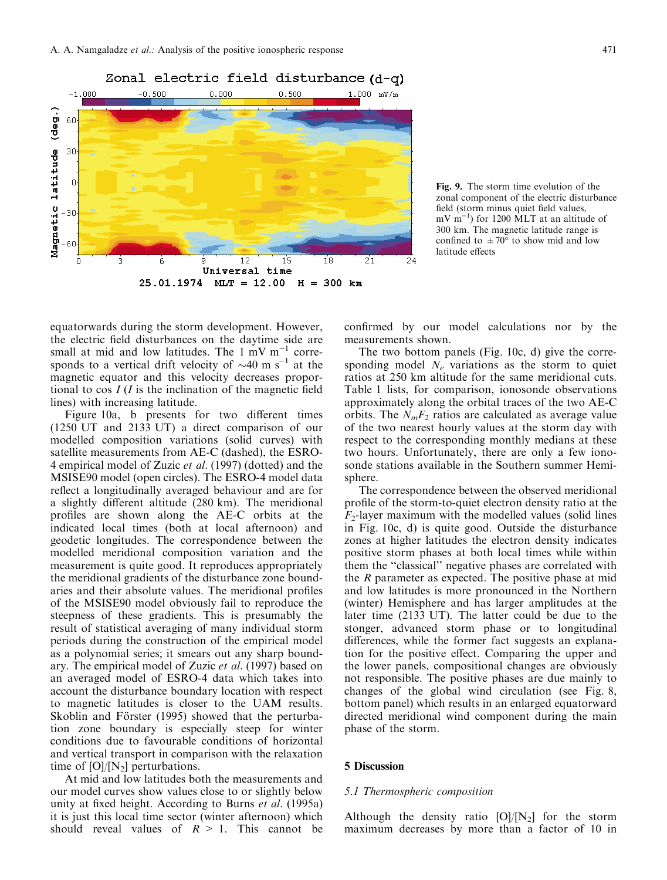



Fig. 9. The storm time evolution of the zonal component of the electric disturbance field (storm minus quiet field values,  $mV$  m<sup>-1</sup>) for 1200 MLT at an altitude of 300 km. The magnetic latitude range is confined to  $\pm 70^{\circ}$  to show mid and low latitude effects

equatorwards during the storm development. However, the electric field disturbances on the daytime side are small at mid and low latitudes. The  $1 \text{ mV m}^{-1}$  corresponds to a vertical drift velocity of  $\sim$ 40 m s<sup>-1</sup> at the magnetic equator and this velocity decreases proportional to cos  $I(I)$  is the inclination of the magnetic field lines) with increasing latitude.

Figure 10a, b presents for two different times (1250 UT and 2133 UT) a direct comparison of our modelled composition variations (solid curves) with satellite measurements from AE-C (dashed), the ESRO-4 empirical model of Zuzic et al. (1997) (dotted) and the MSISE90 model (open circles). The ESRO-4 model data reflect a longitudinally averaged behaviour and are for a slightly different altitude (280 km). The meridional profiles are shown along the AE-C orbits at the indicated local times (both at local afternoon) and geodetic longitudes. The correspondence between the modelled meridional composition variation and the measurement is quite good. It reproduces appropriately the meridional gradients of the disturbance zone boundaries and their absolute values. The meridional profiles of the MSISE90 model obviously fail to reproduce the steepness of these gradients. This is presumably the result of statistical averaging of many individual storm periods during the construction of the empirical model as a polynomial series; it smears out any sharp boundary. The empirical model of Zuzic et al. (1997) based on an averaged model of ESRO-4 data which takes into account the disturbance boundary location with respect to magnetic latitudes is closer to the UAM results. Skoblin and Förster (1995) showed that the perturbation zone boundary is especially steep for winter conditions due to favourable conditions of horizontal and vertical transport in comparison with the relaxation time of  $[O]/[N_2]$  perturbations.

At mid and low latitudes both the measurements and our model curves show values close to or slightly below unity at fixed height. According to Burns et al.  $(1995a)$ it is just this local time sector (winter afternoon) which should reveal values of  $R > 1$ . This cannot be

confirmed by our model calculations nor by the measurements shown.

The two bottom panels (Fig. 10c, d) give the corresponding model  $N_e$  variations as the storm to quiet ratios at 250 km altitude for the same meridional cuts. Table 1 lists, for comparison, ionosonde observations approximately along the orbital traces of the two AE-C orbits. The  $N_mF_2$  ratios are calculated as average value of the two nearest hourly values at the storm day with respect to the corresponding monthly medians at these two hours. Unfortunately, there are only a few ionosonde stations available in the Southern summer Hemisphere.

The correspondence between the observed meridional profile of the storm-to-quiet electron density ratio at the  $F_2$ -layer maximum with the modelled values (solid lines in Fig. 10c, d) is quite good. Outside the disturbance zones at higher latitudes the electron density indicates positive storm phases at both local times while within them the ``classical'' negative phases are correlated with the  $R$  parameter as expected. The positive phase at mid and low latitudes is more pronounced in the Northern (winter) Hemisphere and has larger amplitudes at the later time (2133 UT). The latter could be due to the stonger, advanced storm phase or to longitudinal differences, while the former fact suggests an explanation for the positive effect. Comparing the upper and the lower panels, compositional changes are obviously not responsible. The positive phases are due mainly to changes of the global wind circulation (see Fig. 8, bottom panel) which results in an enlarged equatorward directed meridional wind component during the main phase of the storm.

# 5 Discussion

#### 5.1 Thermospheric composition

Although the density ratio  $[O]/[N_2]$  for the storm maximum decreases by more than a factor of 10 in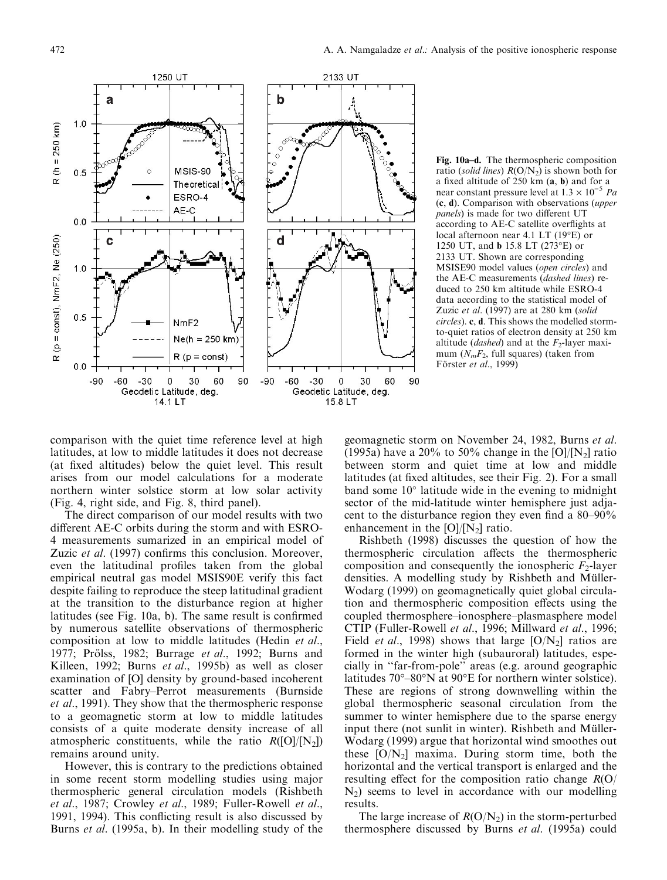

Fig. 10a-d. The thermospheric composition ratio (solid lines)  $R(O/N_2)$  is shown both for a fixed altitude of  $250 \text{ km}$  (a, b) and for a near constant pressure level at  $1.3 \times 10^{-5}$  Pa (c, d). Comparison with observations (upper panels) is made for two different UT according to AE-C satellite overflights at local afternoon near 4.1 LT (19°E) or 1250 UT, and b 15.8 LT (273°E) or 2133 UT. Shown are corresponding MSISE90 model values (open circles) and the AE-C measurements (dashed lines) reduced to 250 km altitude while ESRO-4 data according to the statistical model of Zuzic et al. (1997) are at 280 km (solid circles). c, d. This shows the modelled stormto-quiet ratios of electron density at 250 km altitude (*dashed*) and at the  $F_2$ -layer maximum  $(N_mF_2,$  full squares) (taken from Förster et al., 1999)

comparison with the quiet time reference level at high latitudes, at low to middle latitudes it does not decrease (at fixed altitudes) below the quiet level. This result arises from our model calculations for a moderate northern winter solstice storm at low solar activity (Fig. 4, right side, and Fig. 8, third panel).

The direct comparison of our model results with two different AE-C orbits during the storm and with ESRO-4 measurements sumarized in an empirical model of Zuzic et al. (1997) confirms this conclusion. Moreover, even the latitudinal profiles taken from the global empirical neutral gas model MSIS90E verify this fact despite failing to reproduce the steep latitudinal gradient at the transition to the disturbance region at higher latitudes (see Fig.  $10a$ , b). The same result is confirmed by numerous satellite observations of thermospheric composition at low to middle latitudes (Hedin et al., 1977; Prölss, 1982; Burrage *et al.*, 1992; Burns and Killeen, 1992; Burns et al., 1995b) as well as closer examination of [O] density by ground-based incoherent scatter and Fabry–Perrot measurements (Burnside et al., 1991). They show that the thermospheric response to a geomagnetic storm at low to middle latitudes consists of a quite moderate density increase of all atmospheric constituents, while the ratio  $R([O]/[N_2])$ remains around unity.

However, this is contrary to the predictions obtained in some recent storm modelling studies using major thermospheric general circulation models (Rishbeth et al., 1987; Crowley et al., 1989; Fuller-Rowell et al., 1991, 1994). This conflicting result is also discussed by Burns et al. (1995a, b). In their modelling study of the

geomagnetic storm on November 24, 1982, Burns et al. (1995a) have a 20% to 50% change in the  $[O]/[N_2]$  ratio between storm and quiet time at low and middle latitudes (at fixed altitudes, see their Fig. 2). For a small band some  $10^{\circ}$  latitude wide in the evening to midnight sector of the mid-latitude winter hemisphere just adjacent to the disturbance region they even find a  $80-90\%$ enhancement in the  $[O]/[N_2]$  ratio.

Rishbeth (1998) discusses the question of how the thermospheric circulation affects the thermospheric composition and consequently the ionospheric  $F_2$ -layer densities. A modelling study by Rishbeth and Müller-Wodarg (1999) on geomagnetically quiet global circulation and thermospheric composition effects using the coupled thermosphere-ionosphere-plasmasphere model CTIP (Fuller-Rowell et al., 1996; Millward et al., 1996; Field *et al.*, 1998) shows that large  $[O/N_2]$  ratios are formed in the winter high (subauroral) latitudes, especially in ``far-from-pole'' areas (e.g. around geographic latitudes 70°-80°N at 90°E for northern winter solstice). These are regions of strong downwelling within the global thermospheric seasonal circulation from the summer to winter hemisphere due to the sparse energy input there (not sunlit in winter). Rishbeth and Müller-Wodarg (1999) argue that horizontal wind smoothes out these  $[O/N<sub>2</sub>]$  maxima. During storm time, both the horizontal and the vertical transport is enlarged and the resulting effect for the composition ratio change  $R(O)$  $N_2$ ) seems to level in accordance with our modelling results.

The large increase of  $R(O/N_2)$  in the storm-perturbed thermosphere discussed by Burns et al. (1995a) could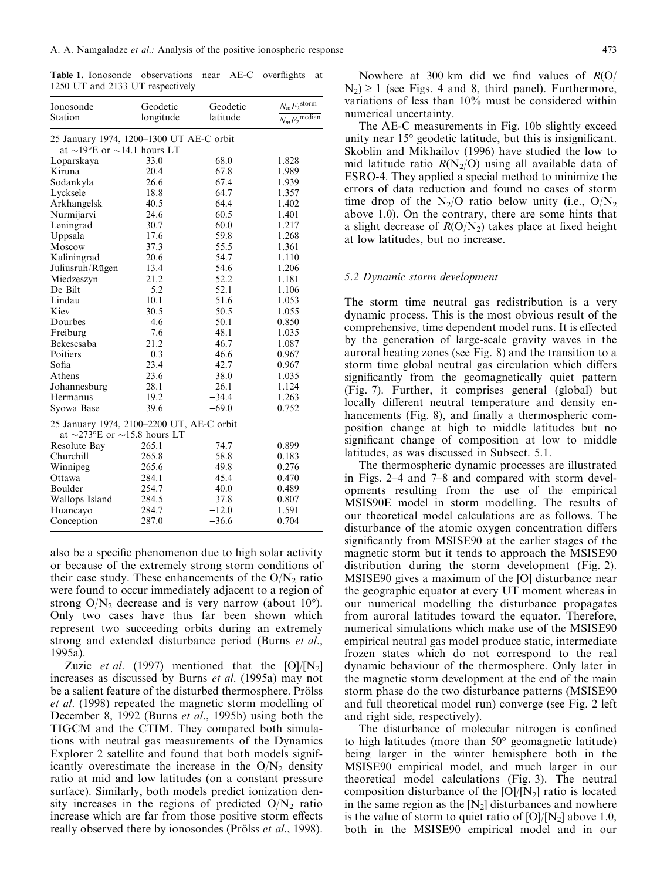Table 1. Ionosonde observations near AE-C overflights at 1250 UT and 2133 UT respectively

| Ionosonde                                                                            | Geodetic  | Geodetic | $N_mF_2^{\text{storm}}$     |
|--------------------------------------------------------------------------------------|-----------|----------|-----------------------------|
| Station                                                                              | longitude | latitude | $N_m F_2$ <sup>median</sup> |
| 25 January 1974, 1200-1300 UT AE-C orbit                                             |           |          |                             |
| at $\sim$ 19°E or $\sim$ 14.1 hours LT                                               |           |          |                             |
| Loparskaya                                                                           | 33.0      | 68.0     | 1.828                       |
| Kiruna                                                                               | 20.4      | 67.8     | 1.989                       |
| Sodankyla                                                                            | 26.6      | 67.4     | 1.939                       |
| Lycksele                                                                             | 18.8      | 64.7     | 1.357                       |
| Arkhangelsk                                                                          | 40.5      | 64.4     | 1.402                       |
| Nurmijarvi                                                                           | 24.6      | 60.5     | 1.401                       |
| Leningrad                                                                            | 30.7      | 60.0     | 1.217                       |
| Uppsala                                                                              | 17.6      | 59.8     | 1.268                       |
| Moscow                                                                               | 37.3      | 55.5     | 1.361                       |
| Kaliningrad                                                                          | 20.6      | 54.7     | 1.110                       |
| Juliusruh/Rügen                                                                      | 13.4      | 54.6     | 1.206                       |
| Miedzeszyn                                                                           | 21.2      | 52.2     | 1.181                       |
| De Bilt                                                                              | 5.2       | 52.1     | 1.106                       |
| Lindau                                                                               | 10.1      | 51.6     | 1.053                       |
| Kiev                                                                                 | 30.5      | 50.5     | 1.055                       |
| Dourbes                                                                              | 4.6       | 50.1     | 0.850                       |
| Freiburg                                                                             | 7.6       | 48.1     | 1.035                       |
| Bekescsaba                                                                           | 21.2      | 46.7     | 1.087                       |
| Poitiers                                                                             | 0.3       | 46.6     | 0.967                       |
| Sofia                                                                                | 23.4      | 42.7     | 0.967                       |
| Athens                                                                               | 23.6      | 38.0     | 1.035                       |
| Johannesburg                                                                         | 28.1      | $-26.1$  | 1.124                       |
| Hermanus                                                                             | 19.2      | $-34.4$  | 1.263                       |
| Syowa Base                                                                           | 39.6      | $-69.0$  | 0.752                       |
| 25 January 1974, 2100-2200 UT, AE-C orbit<br>at $\sim$ 273°E or $\sim$ 15.8 hours LT |           |          |                             |
| Resolute Bay                                                                         | 265.1     | 74.7     | 0.899                       |
| Churchill                                                                            | 265.8     | 58.8     | 0.183                       |
| Winnipeg                                                                             | 265.6     | 49.8     | 0.276                       |
| Ottawa                                                                               | 284.1     | 45.4     | 0.470                       |
| Boulder                                                                              | 254.7     | 40.0     | 0.489                       |
| Wallops Island                                                                       | 284.5     | 37.8     | 0.807                       |
| Huancayo                                                                             | 284.7     | $-12.0$  | 1.591                       |
| Conception                                                                           | 287.0     | $-36.6$  | 0.704                       |

also be a specific phenomenon due to high solar activity or because of the extremely strong storm conditions of their case study. These enhancements of the  $O/N_2$  ratio were found to occur immediately adjacent to a region of strong  $O/N_2$  decrease and is very narrow (about 10°). Only two cases have thus far been shown which represent two succeeding orbits during an extremely strong and extended disturbance period (Burns et al., 1995a).

Zuzic *et al.* (1997) mentioned that the  $[O]/[N_2]$ increases as discussed by Burns et al. (1995a) may not be a salient feature of the disturbed thermosphere. ProLess et al. (1998) repeated the magnetic storm modelling of December 8, 1992 (Burns et al., 1995b) using both the TIGCM and the CTIM. They compared both simulations with neutral gas measurements of the Dynamics Explorer 2 satellite and found that both models significantly overestimate the increase in the  $O/N_2$  density ratio at mid and low latitudes (on a constant pressure surface). Similarly, both models predict ionization density increases in the regions of predicted  $O/N_2$  ratio increase which are far from those positive storm effects really observed there by ionosondes (Prölss *et al.*, 1998).

The AE-C measurements in Fig. 10b slightly exceed unity near  $15^{\circ}$  geodetic latitude, but this is insignificant. Skoblin and Mikhailov (1996) have studied the low to mid latitude ratio  $R(N_2/O)$  using all available data of ESRO-4. They applied a special method to minimize the errors of data reduction and found no cases of storm time drop of the  $N_2/O$  ratio below unity (i.e.,  $O/N_2$ ) above 1.0). On the contrary, there are some hints that a slight decrease of  $R(O/N_2)$  takes place at fixed height at low latitudes, but no increase.

## 5.2 Dynamic storm development

numerical uncertainty.

The storm time neutral gas redistribution is a very dynamic process. This is the most obvious result of the comprehensive, time dependent model runs. It is effected by the generation of large-scale gravity waves in the auroral heating zones (see Fig. 8) and the transition to a storm time global neutral gas circulation which differs significantly from the geomagnetically quiet pattern (Fig. 7). Further, it comprises general (global) but locally different neutral temperature and density enhancements (Fig. 8), and finally a thermospheric composition change at high to middle latitudes but no significant change of composition at low to middle latitudes, as was discussed in Subsect. 5.1.

The thermospheric dynamic processes are illustrated in Figs.  $2-4$  and  $7-8$  and compared with storm developments resulting from the use of the empirical MSIS90E model in storm modelling. The results of our theoretical model calculations are as follows. The disturbance of the atomic oxygen concentration differs significantly from MSISE90 at the earlier stages of the magnetic storm but it tends to approach the MSISE90 distribution during the storm development (Fig. 2). MSISE90 gives a maximum of the [O] disturbance near the geographic equator at every UT moment whereas in our numerical modelling the disturbance propagates from auroral latitudes toward the equator. Therefore, numerical simulations which make use of the MSISE90 empirical neutral gas model produce static, intermediate frozen states which do not correspond to the real dynamic behaviour of the thermosphere. Only later in the magnetic storm development at the end of the main storm phase do the two disturbance patterns (MSISE90 and full theoretical model run) converge (see Fig. 2 left and right side, respectively).

The disturbance of molecular nitrogen is confined to high latitudes (more than 50° geomagnetic latitude) being larger in the winter hemisphere both in the MSISE90 empirical model, and much larger in our theoretical model calculations (Fig. 3). The neutral composition disturbance of the  $[O]/[N_2]$  ratio is located in the same region as the  $[N_2]$  disturbances and nowhere is the value of storm to quiet ratio of  $[O]/[N_2]$  above 1.0, both in the MSISE90 empirical model and in our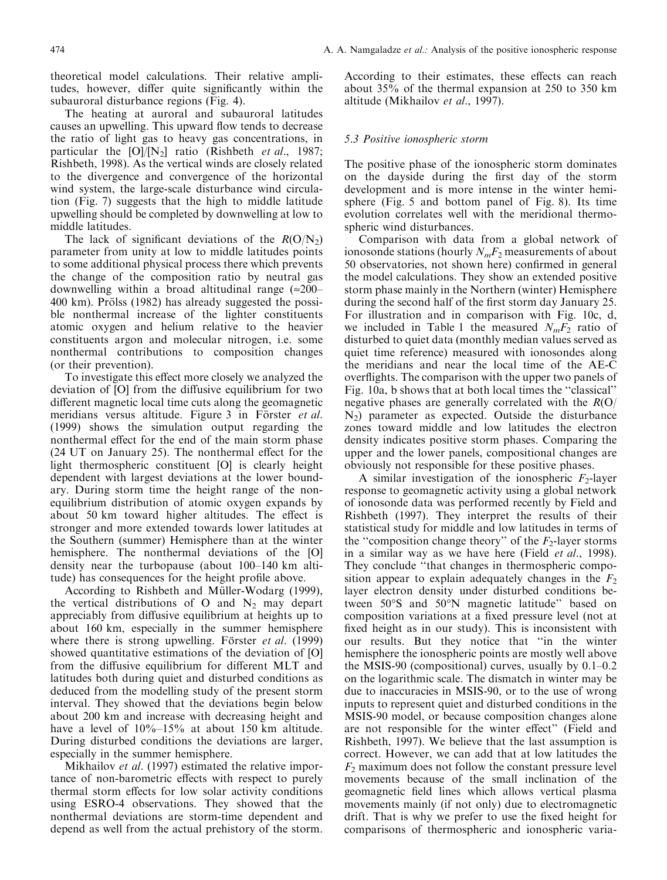theoretical model calculations. Their relative amplitudes, however, differ quite significantly within the subauroral disturbance regions (Fig. 4).

The heating at auroral and subauroral latitudes causes an upwelling. This upward flow tends to decrease the ratio of light gas to heavy gas concentrations, in particular the  $[O]/[N_2]$  ratio (Rishbeth *et al.*, 1987; Rishbeth, 1998). As the vertical winds are closely related to the divergence and convergence of the horizontal wind system, the large-scale disturbance wind circulation (Fig. 7) suggests that the high to middle latitude upwelling should be completed by downwelling at low to middle latitudes.

The lack of significant deviations of the  $R(O/N_2)$ parameter from unity at low to middle latitudes points to some additional physical process there which prevents the change of the composition ratio by neutral gas downwelling within a broad altitudinal range  $\approx 200-$ 400 km). Prölss (1982) has already suggested the possible nonthermal increase of the lighter constituents atomic oxygen and helium relative to the heavier constituents argon and molecular nitrogen, i.e. some nonthermal contributions to composition changes (or their prevention).

To investigate this effect more closely we analyzed the deviation of [O] from the diffusive equilibrium for two different magnetic local time cuts along the geomagnetic meridians versus altitude. Figure 3 in Förster et al. (1999) shows the simulation output regarding the nonthermal effect for the end of the main storm phase  $(24 \text{ UT}$  on January 25). The nonthermal effect for the light thermospheric constituent [O] is clearly height dependent with largest deviations at the lower boundary. During storm time the height range of the nonequilibrium distribution of atomic oxygen expands by about 50 km toward higher altitudes. The effect is stronger and more extended towards lower latitudes at the Southern (summer) Hemisphere than at the winter hemisphere. The nonthermal deviations of the [O] density near the turbopause (about  $100-140$  km altitude) has consequences for the height profile above.

According to Rishbeth and Müller-Wodarg (1999), the vertical distributions of O and  $N_2$  may depart appreciably from diffusive equilibrium at heights up to about 160 km, especially in the summer hemisphere where there is strong upwelling. Förster *et al.* (1999) showed quantitative estimations of the deviation of [O] from the diffusive equilibrium for different MLT and latitudes both during quiet and disturbed conditions as deduced from the modelling study of the present storm interval. They showed that the deviations begin below about 200 km and increase with decreasing height and have a level of  $10\% - 15\%$  at about 150 km altitude. During disturbed conditions the deviations are larger, especially in the summer hemisphere.

Mikhailov et al. (1997) estimated the relative importance of non-barometric effects with respect to purely thermal storm effects for low solar activity conditions using ESRO-4 observations. They showed that the nonthermal deviations are storm-time dependent and depend as well from the actual prehistory of the storm.

According to their estimates, these effects can reach about 35% of the thermal expansion at 250 to 350 km altitude (Mikhailov et al., 1997).

## 5.3 Positive ionospheric storm

The positive phase of the ionospheric storm dominates on the dayside during the first day of the storm development and is more intense in the winter hemisphere (Fig. 5 and bottom panel of Fig. 8). Its time evolution correlates well with the meridional thermospheric wind disturbances.

Comparison with data from a global network of ionosonde stations (hourly  $N_mF_2$  measurements of about 50 observatories, not shown here) confirmed in general the model calculations. They show an extended positive storm phase mainly in the Northern (winter) Hemisphere during the second half of the first storm day January 25. For illustration and in comparison with Fig. 10c, d, we included in Table 1 the measured  $N_mF_2$  ratio of disturbed to quiet data (monthly median values served as quiet time reference) measured with ionosondes along the meridians and near the local time of the AE-C over flights. The comparison with the upper two panels of Fig. 10a, b shows that at both local times the "classical" negative phases are generally correlated with the  $R(O)$  $N_2$ ) parameter as expected. Outside the disturbance zones toward middle and low latitudes the electron density indicates positive storm phases. Comparing the upper and the lower panels, compositional changes are obviously not responsible for these positive phases.

A similar investigation of the ionospheric  $F_2$ -layer response to geomagnetic activity using a global network of ionosonde data was performed recently by Field and Rishbeth (1997). They interpret the results of their statistical study for middle and low latitudes in terms of the "composition change theory" of the  $F_2$ -layer storms in a similar way as we have here (Field *et al.*, 1998). They conclude "that changes in thermospheric composition appear to explain adequately changes in the  $F_2$ layer electron density under disturbed conditions between 50°S and 50°N magnetic latitude'' based on composition variations at a fixed pressure level (not at fixed height as in our study). This is inconsistent with our results. But they notice that "in the winter hemisphere the ionospheric points are mostly well above the MSIS-90 (compositional) curves, usually by  $0.1–0.2$ on the logarithmic scale. The dismatch in winter may be due to inaccuracies in MSIS-90, or to the use of wrong inputs to represent quiet and disturbed conditions in the MSIS-90 model, or because composition changes alone are not responsible for the winter effect" (Field and Rishbeth, 1997). We believe that the last assumption is correct. However, we can add that at low latitudes the  $F<sub>2</sub>$  maximum does not follow the constant pressure level movements because of the small inclination of the geomagnetic field lines which allows vertical plasma movements mainly (if not only) due to electromagnetic drift. That is why we prefer to use the fixed height for comparisons of thermospheric and ionospheric varia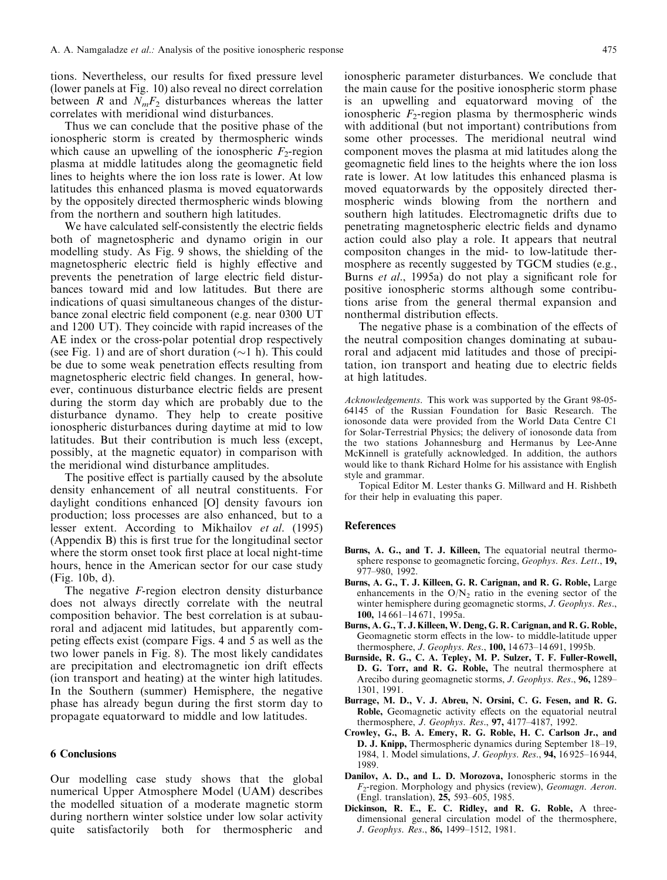tions. Nevertheless, our results for fixed pressure level (lower panels at Fig. 10) also reveal no direct correlation between R and  $N_mF_2$  disturbances whereas the latter correlates with meridional wind disturbances.

Thus we can conclude that the positive phase of the ionospheric storm is created by thermospheric winds which cause an upwelling of the ionospheric  $F_2$ -region plasma at middle latitudes along the geomagnetic field lines to heights where the ion loss rate is lower. At low latitudes this enhanced plasma is moved equatorwards by the oppositely directed thermospheric winds blowing from the northern and southern high latitudes.

We have calculated self-consistently the electric fields both of magnetospheric and dynamo origin in our modelling study. As Fig. 9 shows, the shielding of the magnetospheric electric field is highly effective and prevents the penetration of large electric field disturbances toward mid and low latitudes. But there are indications of quasi simultaneous changes of the disturbance zonal electric field component (e.g. near 0300 UT and 1200 UT). They coincide with rapid increases of the AE index or the cross-polar potential drop respectively (see Fig. 1) and are of short duration  $(\sim 1 \text{ h})$ . This could be due to some weak penetration effects resulting from magnetospheric electric field changes. In general, however, continuous disturbance electric fields are present during the storm day which are probably due to the disturbance dynamo. They help to create positive ionospheric disturbances during daytime at mid to low latitudes. But their contribution is much less (except, possibly, at the magnetic equator) in comparison with the meridional wind disturbance amplitudes.

The positive effect is partially caused by the absolute density enhancement of all neutral constituents. For daylight conditions enhanced [O] density favours ion production; loss processes are also enhanced, but to a lesser extent. According to Mikhailov et al. (1995) (Appendix B) this is first true for the longitudinal sector where the storm onset took first place at local night-time hours, hence in the American sector for our case study (Fig. 10b, d).

The negative F-region electron density disturbance does not always directly correlate with the neutral composition behavior. The best correlation is at subauroral and adjacent mid latitudes, but apparently competing effects exist (compare Figs. 4 and 5 as well as the two lower panels in Fig. 8). The most likely candidates are precipitation and electromagnetic ion drift effects (ion transport and heating) at the winter high latitudes. In the Southern (summer) Hemisphere, the negative phase has already begun during the first storm day to propagate equatorward to middle and low latitudes.

## 6 Conclusions

Our modelling case study shows that the global numerical Upper Atmosphere Model (UAM) describes the modelled situation of a moderate magnetic storm during northern winter solstice under low solar activity quite satisfactorily both for thermospheric and

ionospheric parameter disturbances. We conclude that the main cause for the positive ionospheric storm phase is an upwelling and equatorward moving of the ionospheric  $F_2$ -region plasma by thermospheric winds with additional (but not important) contributions from some other processes. The meridional neutral wind component moves the plasma at mid latitudes along the geomagnetic field lines to the heights where the ion loss rate is lower. At low latitudes this enhanced plasma is moved equatorwards by the oppositely directed thermospheric winds blowing from the northern and southern high latitudes. Electromagnetic drifts due to penetrating magnetospheric electric fields and dynamo action could also play a role. It appears that neutral compositon changes in the mid- to low-latitude thermosphere as recently suggested by TGCM studies (e.g., Burns et al., 1995a) do not play a significant role for positive ionospheric storms although some contributions arise from the general thermal expansion and nonthermal distribution effects.

The negative phase is a combination of the effects of the neutral composition changes dominating at subauroral and adjacent mid latitudes and those of precipitation, ion transport and heating due to electric fields at high latitudes.

Acknowledgements. This work was supported by the Grant 98-05- 64145 of the Russian Foundation for Basic Research. The ionosonde data were provided from the World Data Centre C1 for Solar-Terrestrial Physics; the delivery of ionosonde data from the two stations Johannesburg and Hermanus by Lee-Anne McKinnell is gratefully acknowledged. In addition, the authors would like to thank Richard Holme for his assistance with English style and grammar.

Topical Editor M. Lester thanks G. Millward and H. Rishbeth for their help in evaluating this paper.

#### References

- Burns, A. G., and T. J. Killeen, The equatorial neutral thermosphere response to geomagnetic forcing, Geophys. Res. Lett., 19, 977±980, 1992.
- Burns, A. G., T. J. Killeen, G. R. Carignan, and R. G. Roble, Large enhancements in the  $O/N_2$  ratio in the evening sector of the winter hemisphere during geomagnetic storms, J. Geophys. Res., 100, 14 661-14 671, 1995a.
- Burns, A. G., T. J. Killeen, W. Deng, G. R. Carignan, and R. G. Roble, Geomagnetic storm effects in the low- to middle-latitude upper thermosphere, *J. Geophys. Res.*, 100, 14673-14691, 1995b.
- Burnside, R. G., C. A. Tepley, M. P. Sulzer, T. F. Fuller-Rowell, D. G. Torr, and R. G. Roble, The neutral thermosphere at Arecibo during geomagnetic storms, J. Geophys. Res., 96, 1289-1301, 1991.
- Burrage, M. D., V. J. Abreu, N. Orsini, C. G. Fesen, and R. G. Roble, Geomagnetic activity effects on the equatorial neutral thermosphere, *J. Geophys. Res.*, 97, 4177-4187, 1992.
- Crowley, G., B. A. Emery, R. G. Roble, H. C. Carlson Jr., and D. J. Knipp, Thermospheric dynamics during September 18-19, 1984, 1. Model simulations, *J. Geophys. Res.*, **94,** 16925-16944, 1989.
- Danilov, A. D., and L. D. Morozova, Ionospheric storms in the  $F_2$ -region. Morphology and physics (review), Geomagn. Aeron. (Engl. translation), 25, 593–605, 1985.
- Dickinson, R. E., E. C. Ridley, and R. G. Roble, A threedimensional general circulation model of the thermosphere, J. Geophys. Res., 86, 1499-1512, 1981.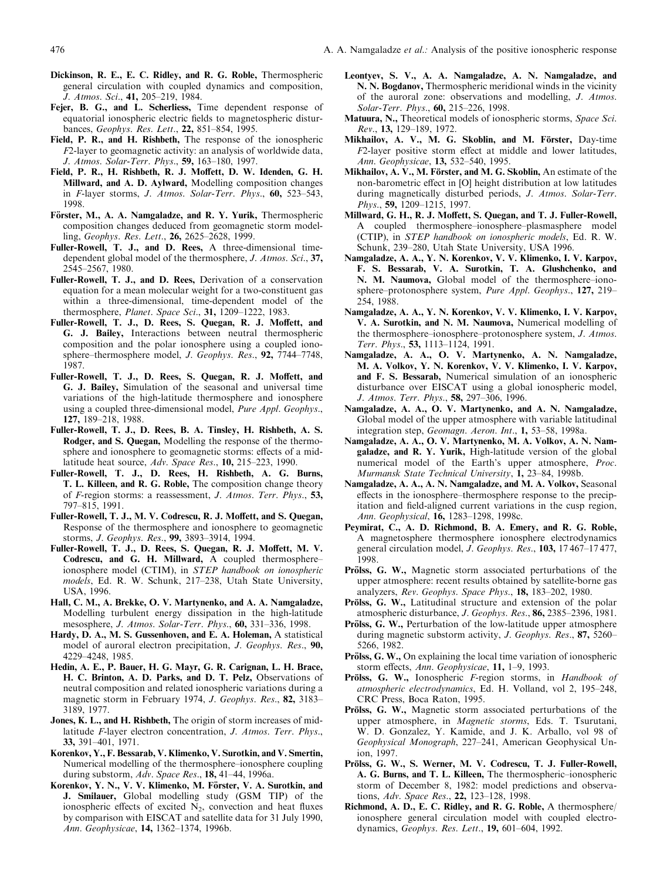- Dickinson, R. E., E. C. Ridley, and R. G. Roble, Thermospheric general circulation with coupled dynamics and composition, J. Atmos. Sci., 41, 205-219, 1984.
- Fejer, B. G., and L. Scherliess, Time dependent response of equatorial ionospheric electric fields to magnetospheric disturbances, Geophys. Res. Lett., 22, 851-854, 1995.
- Field, P. R., and H. Rishbeth, The response of the ionospheric F2-layer to geomagnetic activity: an analysis of worldwide data, J. Atmos. Solar-Terr. Phys., 59, 163-180, 1997.
- Field, P. R., H. Rishbeth, R. J. Moffett, D. W. Idenden, G. H. Millward, and A. D. Aylward, Modelling composition changes in F-layer storms, J. Atmos. Solar-Terr. Phys.,  $60$ , 523-543, 1998.
- Förster, M., A. A. Namgaladze, and R. Y. Yurik, Thermospheric composition changes deduced from geomagnetic storm modelling, Geophys. Res. Lett., 26, 2625-2628, 1999.
- Fuller-Rowell, T. J., and D. Rees, A three-dimensional timedependent global model of the thermosphere, J. Atmos. Sci., 37, 2545±2567, 1980.
- Fuller-Rowell, T. J., and D. Rees, Derivation of a conservation equation for a mean molecular weight for a two-constituent gas within a three-dimensional, time-dependent model of the thermosphere, Planet. Space Sci., 31, 1209-1222, 1983.
- Fuller-Rowell, T. J., D. Rees, S. Quegan, R. J. Moffett, and G. J. Bailey, Interactions between neutral thermospheric composition and the polar ionosphere using a coupled ionosphere-thermosphere model, J. Geophys. Res., 92, 7744-7748, 1987.
- Fuller-Rowell, T. J., D. Rees, S. Quegan, R. J. Moffett, and G. J. Bailey, Simulation of the seasonal and universal time variations of the high-latitude thermosphere and ionosphere using a coupled three-dimensional model, Pure Appl. Geophys., 127, 189±218, 1988.
- Fuller-Rowell, T. J., D. Rees, B. A. Tinsley, H. Rishbeth, A. S. Rodger, and S. Quegan, Modelling the response of the thermosphere and ionosphere to geomagnetic storms: effects of a midlatitude heat source,  $Adv. Space Res., 10, 215-223, 1990.$
- Fuller-Rowell, T. J., D. Rees, H. Rishbeth, A. G. Burns, T. L. Killeen, and R. G. Roble, The composition change theory of F-region storms: a reassessment, J. Atmos. Terr. Phys., 53, 797±815, 1991.
- Fuller-Rowell, T. J., M. V. Codrescu, R. J. Moffett, and S. Quegan, Response of the thermosphere and ionosphere to geomagnetic storms, J. Geophys. Res., 99, 3893-3914, 1994.
- Fuller-Rowell, T. J., D. Rees, S. Quegan, R. J. Moffett, M. V. Codrescu, and G. H. Millward, A coupled thermosphereionosphere model (CTIM), in STEP handbook on ionospheric models, Ed. R. W. Schunk, 217-238, Utah State University, USA, 1996.
- Hall, C. M., A. Brekke, O. V. Martynenko, and A. A. Namgaladze, Modelling turbulent energy dissipation in the high-latitude mesosphere, J. Atmos. Solar-Terr. Phys., 60, 331-336, 1998.
- Hardy, D. A., M. S. Gussenhoven, and E. A. Holeman, A statistical model of auroral electron precipitation, J. Geophys. Res., 90, 4229±4248, 1985.
- Hedin, A. E., P. Bauer, H. G. Mayr, G. R. Carignan, L. H. Brace, H. C. Brinton, A. D. Parks, and D. T. Pelz, Observations of neutral composition and related ionospheric variations during a magnetic storm in February 1974, J. Geophys. Res., 82, 3183– 3189, 1977.
- Jones, K. L., and H. Rishbeth, The origin of storm increases of midlatitude F-layer electron concentration, J. Atmos. Terr. Phys., 33, 391±401, 1971.
- Korenkov, Y., F. Bessarab, V. Klimenko, V. Surotkin, and V. Smertin, Numerical modelling of the thermosphere-ionosphere coupling during substorm,  $Adv. Space Res., 18, 41–44, 1996a.$
- Korenkov, Y. N., V. V. Klimenko, M. Förster, V. A. Surotkin, and J. Smilauer, Global modelling study (GSM TIP) of the ionospheric effects of excited  $N_2$ , convection and heat fluxes by comparison with EISCAT and satellite data for 31 July 1990, Ann. Geophysicae, 14, 1362-1374, 1996b.
- Leontyev, S. V., A. A. Namgaladze, A. N. Namgaladze, and N. N. Bogdanov, Thermospheric meridional winds in the vicinity of the auroral zone: observations and modelling, J. Atmos. Solar-Terr. Phys., 60, 215-226, 1998.
- Matuura, N., Theoretical models of ionospheric storms, Space Sci. Rev., 13, 129-189, 1972.
- Mikhailov, A. V., M. G. Skoblin, and M. Förster, Day-time  $F2$ -layer positive storm effect at middle and lower latitudes, Ann. Geophysicae, 13, 532-540, 1995.
- Mikhailov, A. V., M. Förster, and M. G. Skoblin, An estimate of the non-barometric effect in [O] height distribution at low latitudes during magnetically disturbed periods, J. Atmos. Solar-Terr.  $Phys., 59, 1209–1215, 1997.$
- Millward, G. H., R. J. Moffett, S. Quegan, and T. J. Fuller-Rowell, A coupled thermosphere-ionosphere-plasmasphere model (CTIP), in STEP handbook on ionospheric models, Ed. R. W. Schunk, 239-280, Utah State University, USA 1996.
- Namgaladze, A. A., Y. N. Korenkov, V. V. Klimenko, I. V. Karpov, F. S. Bessarab, V. A. Surotkin, T. A. Glushchenko, and N. M. Naumova, Global model of the thermosphere-ionosphere-protonosphere system, Pure Appl. Geophys., 127, 219-254, 1988.
- Namgaladze, A. A., Y. N. Korenkov, V. V. Klimenko, I. V. Karpov, V. A. Surotkin, and N. M. Naumova, Numerical modelling of the thermosphere-ionosphere-protonosphere system, J. Atmos. Terr. Phys., 53, 1113-1124, 1991.
- Namgaladze, A. A., O. V. Martynenko, A. N. Namgaladze, M. A. Volkov, Y. N. Korenkov, V. V. Klimenko, I. V. Karpov, and F. S. Bessarab, Numerical simulation of an ionospheric disturbance over EISCAT using a global ionospheric model, J. Atmos. Terr. Phys., 58, 297-306, 1996.
- Namgaladze, A. A., O. V. Martynenko, and A. N. Namgaladze, Global model of the upper atmosphere with variable latitudinal integration step, Geomagn. Aeron. Int., 1, 53-58, 1998a.
- Namgaladze, A. A., O. V. Martynenko, M. A. Volkov, A. N. Namgaladze, and R. Y. Yurik, High-latitude version of the global numerical model of the Earth's upper atmosphere, Proc. Murmansk State Technical University, 1, 23-84, 1998b.
- Namgaladze, A. A., A. N. Namgaladze, and M. A. Volkov, Seasonal effects in the ionosphere-thermosphere response to the precipitation and field-aligned current variations in the cusp region, Ann. Geophysical, 16, 1283-1298, 1998c.
- Peymirat, C., A. D. Richmond, B. A. Emery, and R. G. Roble, A magnetosphere thermosphere ionosphere electrodynamics general circulation model, J. Geophys. Res., 103, 17467-17477, 1998.
- Prölss, G. W., Magnetic storm associated perturbations of the upper atmosphere: recent results obtained by satellite-borne gas analyzers, Rev. Geophys. Space Phys., 18, 183-202, 1980.
- Prölss, G. W., Latitudinal structure and extension of the polar atmospheric disturbance, J. Geophys. Res., 86, 2385-2396, 1981.
- Prölss, G. W., Perturbation of the low-latitude upper atmosphere during magnetic substorm activity, *J. Geophys. Res.*, 87, 5260-5266, 1982.
- Prölss, G. W., On explaining the local time variation of ionospheric storm effects, Ann. Geophysicae, 11, 1-9, 1993.
- Prölss, G. W., Ionospheric F-region storms, in Handbook of atmospheric electrodynamics, Ed. H. Volland, vol 2, 195-248, CRC Press, Boca Raton, 1995.
- Prölss, G. W., Magnetic storm associated perturbations of the upper atmosphere, in Magnetic storms, Eds. T. Tsurutani, W. D. Gonzalez, Y. Kamide, and J. K. Arballo, vol 98 of Geophysical Monograph, 227-241, American Geophysical Union, 1997.
- Prölss, G. W., S. Werner, M. V. Codrescu, T. J. Fuller-Rowell, A. G. Burns, and T. L. Killeen, The thermospheric-ionospheric storm of December 8, 1982: model predictions and observations, Adv. Space Res., 22, 123-128, 1998.
- Richmond, A. D., E. C. Ridley, and R. G. Roble, A thermosphere/ ionosphere general circulation model with coupled electrodynamics, Geophys. Res. Lett., 19, 601-604, 1992.